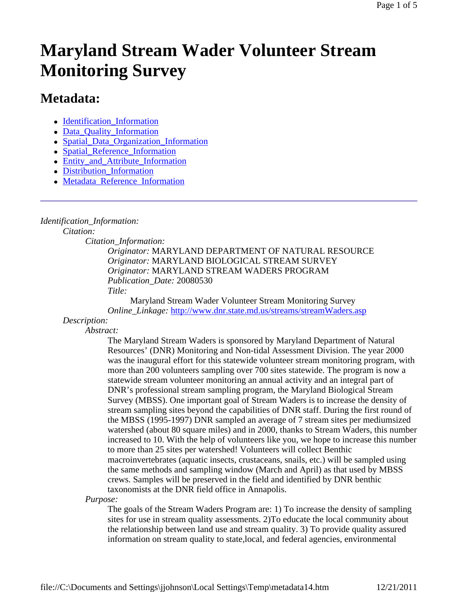# **Maryland Stream Wader Volunteer Stream Monitoring Survey**

# **Metadata:**

- Identification Information
- Data\_Quality\_Information
- Spatial Data Organization Information
- Spatial Reference Information
- Entity and Attribute Information
- Distribution Information
- Metadata\_Reference\_Information

## *Identification\_Information:*

*Citation:*

*Citation\_Information:*

*Originator:* MARYLAND DEPARTMENT OF NATURAL RESOURCE *Originator:* MARYLAND BIOLOGICAL STREAM SURVEY *Originator:* MARYLAND STREAM WADERS PROGRAM *Publication\_Date:* 20080530 *Title:*

Maryland Stream Wader Volunteer Stream Monitoring Survey *Online\_Linkage:* http://www.dnr.state.md.us/streams/streamWaders.asp

## *Description:*

*Abstract:*

The Maryland Stream Waders is sponsored by Maryland Department of Natural Resources' (DNR) Monitoring and Non-tidal Assessment Division. The year 2000 was the inaugural effort for this statewide volunteer stream monitoring program, with more than 200 volunteers sampling over 700 sites statewide. The program is now a statewide stream volunteer monitoring an annual activity and an integral part of DNR's professional stream sampling program, the Maryland Biological Stream Survey (MBSS). One important goal of Stream Waders is to increase the density of stream sampling sites beyond the capabilities of DNR staff. During the first round of the MBSS (1995-1997) DNR sampled an average of 7 stream sites per mediumsized watershed (about 80 square miles) and in 2000, thanks to Stream Waders, this number increased to 10. With the help of volunteers like you, we hope to increase this number to more than 25 sites per watershed! Volunteers will collect Benthic macroinvertebrates (aquatic insects, crustaceans, snails, etc.) will be sampled using the same methods and sampling window (March and April) as that used by MBSS crews. Samples will be preserved in the field and identified by DNR benthic taxonomists at the DNR field office in Annapolis.

*Purpose:*

The goals of the Stream Waders Program are: 1) To increase the density of sampling sites for use in stream quality assessments. 2)To educate the local community about the relationship between land use and stream quality. 3) To provide quality assured information on stream quality to state,local, and federal agencies, environmental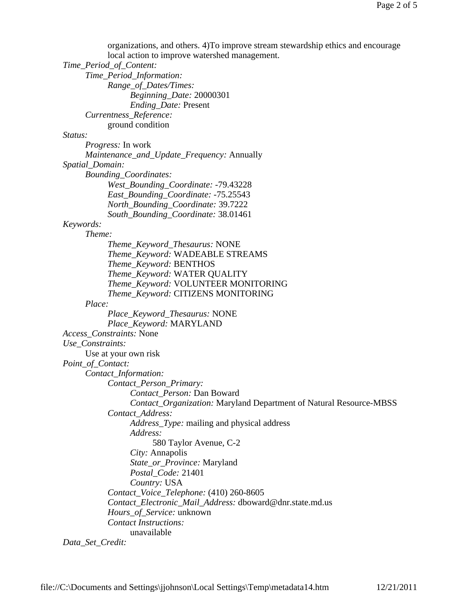organizations, and others. 4)To improve stream stewardship ethics and encourage

local action to improve watershed management. *Time\_Period\_of\_Content: Time\_Period\_Information: Range\_of\_Dates/Times: Beginning\_Date:* 20000301 *Ending\_Date:* Present *Currentness\_Reference:* ground condition *Status: Progress:* In work *Maintenance\_and\_Update\_Frequency:* Annually *Spatial\_Domain: Bounding\_Coordinates: West\_Bounding\_Coordinate:* -79.43228 *East\_Bounding\_Coordinate:* -75.25543 *North\_Bounding\_Coordinate:* 39.7222 *South\_Bounding\_Coordinate:* 38.01461 *Keywords: Theme: Theme\_Keyword\_Thesaurus:* NONE *Theme\_Keyword:* WADEABLE STREAMS *Theme\_Keyword:* BENTHOS *Theme\_Keyword:* WATER QUALITY *Theme\_Keyword:* VOLUNTEER MONITORING *Theme\_Keyword:* CITIZENS MONITORING *Place: Place\_Keyword\_Thesaurus:* NONE *Place\_Keyword:* MARYLAND *Access\_Constraints:* None *Use\_Constraints:* Use at your own risk *Point\_of\_Contact: Contact\_Information: Contact\_Person\_Primary: Contact\_Person:* Dan Boward *Contact\_Organization:* Maryland Department of Natural Resource-MBSS *Contact\_Address: Address\_Type:* mailing and physical address *Address:* 580 Taylor Avenue, C-2 *City:* Annapolis *State\_or\_Province:* Maryland *Postal\_Code:* 21401 *Country:* USA *Contact\_Voice\_Telephone:* (410) 260-8605 *Contact\_Electronic\_Mail\_Address:* dboward@dnr.state.md.us *Hours\_of\_Service:* unknown *Contact Instructions:* unavailable

*Data\_Set\_Credit:*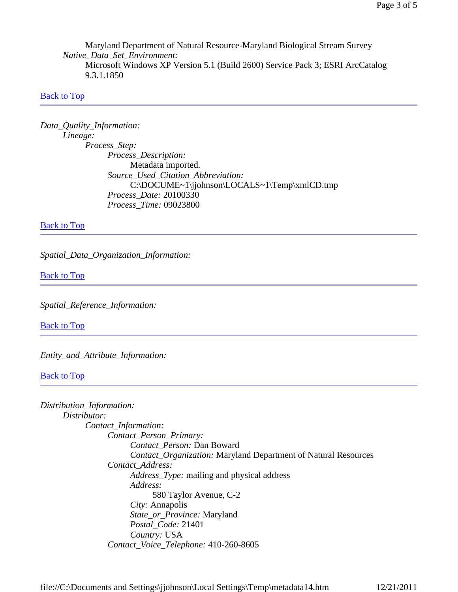Maryland Department of Natural Resource-Maryland Biological Stream Survey *Native\_Data\_Set\_Environment:* Microsoft Windows XP Version 5.1 (Build 2600) Service Pack 3; ESRI ArcCatalog 9.3.1.1850

#### Back to Top

*Data\_Quality\_Information: Lineage: Process\_Step: Process\_Description:* Metadata imported. *Source\_Used\_Citation\_Abbreviation:* C:\DOCUME~1\jjohnson\LOCALS~1\Temp\xmlCD.tmp *Process\_Date:* 20100330 *Process\_Time:* 09023800

**Back to Top** 

*Spatial\_Data\_Organization\_Information:*

Back to Top

*Spatial\_Reference\_Information:*

Back to Top

*Entity\_and\_Attribute\_Information:*

**Back to Top** 

| Distribution_Information:                                             |
|-----------------------------------------------------------------------|
| Distributor:                                                          |
| Contact_Information:                                                  |
| Contact_Person_Primary:                                               |
| Contact Person: Dan Boward                                            |
| <i>Contact_Organization:</i> Maryland Department of Natural Resources |
| Contact Address:                                                      |
| <i>Address_Type:</i> mailing and physical address                     |
| Address:                                                              |
| 580 Taylor Avenue, C-2                                                |
| City: Annapolis                                                       |
| State_or_Province: Maryland                                           |
| Postal_Code: 21401                                                    |
| Country: USA                                                          |
| Contact_Voice_Telephone: 410-260-8605                                 |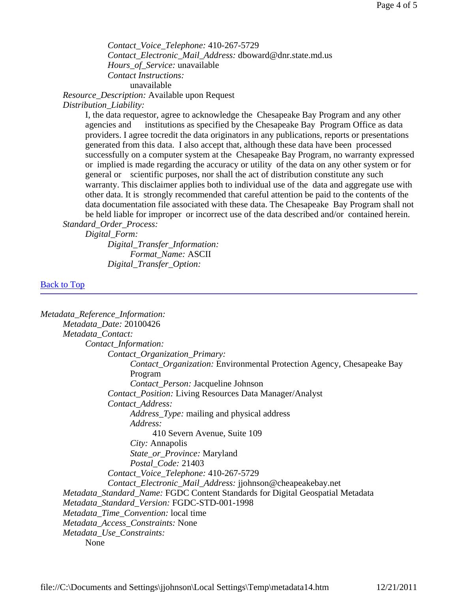*Contact\_Voice\_Telephone:* 410-267-5729 *Contact\_Electronic\_Mail\_Address:* dboward@dnr.state.md.us *Hours\_of\_Service:* unavailable *Contact Instructions:* unavailable

*Resource\_Description:* Available upon Request

*Distribution\_Liability:*

I, the data requestor, agree to acknowledge the Chesapeake Bay Program and any other agencies and institutions as specified by the Chesapeake Bay Program Office as data providers. I agree tocredit the data originators in any publications, reports or presentations generated from this data. I also accept that, although these data have been processed successfully on a computer system at the Chesapeake Bay Program, no warranty expressed or implied is made regarding the accuracy or utility of the data on any other system or for general or scientific purposes, nor shall the act of distribution constitute any such warranty. This disclaimer applies both to individual use of the data and aggregate use with other data. It is strongly recommended that careful attention be paid to the contents of the data documentation file associated with these data. The Chesapeake Bay Program shall not be held liable for improper or incorrect use of the data described and/or contained herein. *Standard\_Order\_Process:*

*Digital\_Form:*

*Digital\_Transfer\_Information: Format\_Name:* ASCII *Digital\_Transfer\_Option:*

#### **Back to Top**

| Metadata_Reference_Information:                                                |
|--------------------------------------------------------------------------------|
| Metadata_Date: 20100426                                                        |
| Metadata_Contact:                                                              |
| Contact_Information:                                                           |
| Contact_Organization_Primary:                                                  |
| Contact_Organization: Environmental Protection Agency, Chesapeake Bay          |
| Program                                                                        |
| <i>Contact_Person:</i> Jacqueline Johnson                                      |
| <b>Contact_Position:</b> Living Resources Data Manager/Analyst                 |
| Contact_Address:                                                               |
| <i>Address_Type:</i> mailing and physical address                              |
| Address:                                                                       |
| 410 Severn Avenue, Suite 109                                                   |
| City: Annapolis                                                                |
| State_or_Province: Maryland                                                    |
| Postal_Code: 21403                                                             |
| Contact_Voice_Telephone: 410-267-5729                                          |
| Contact_Electronic_Mail_Address: jjohnson@cheapeakebay.net                     |
| Metadata_Standard_Name: FGDC Content Standards for Digital Geospatial Metadata |
| Metadata_Standard_Version: FGDC-STD-001-1998                                   |
| Metadata_Time_Convention: local time                                           |
| Metadata_Access_Constraints: None                                              |
| Metadata_Use_Constraints:                                                      |
| None                                                                           |